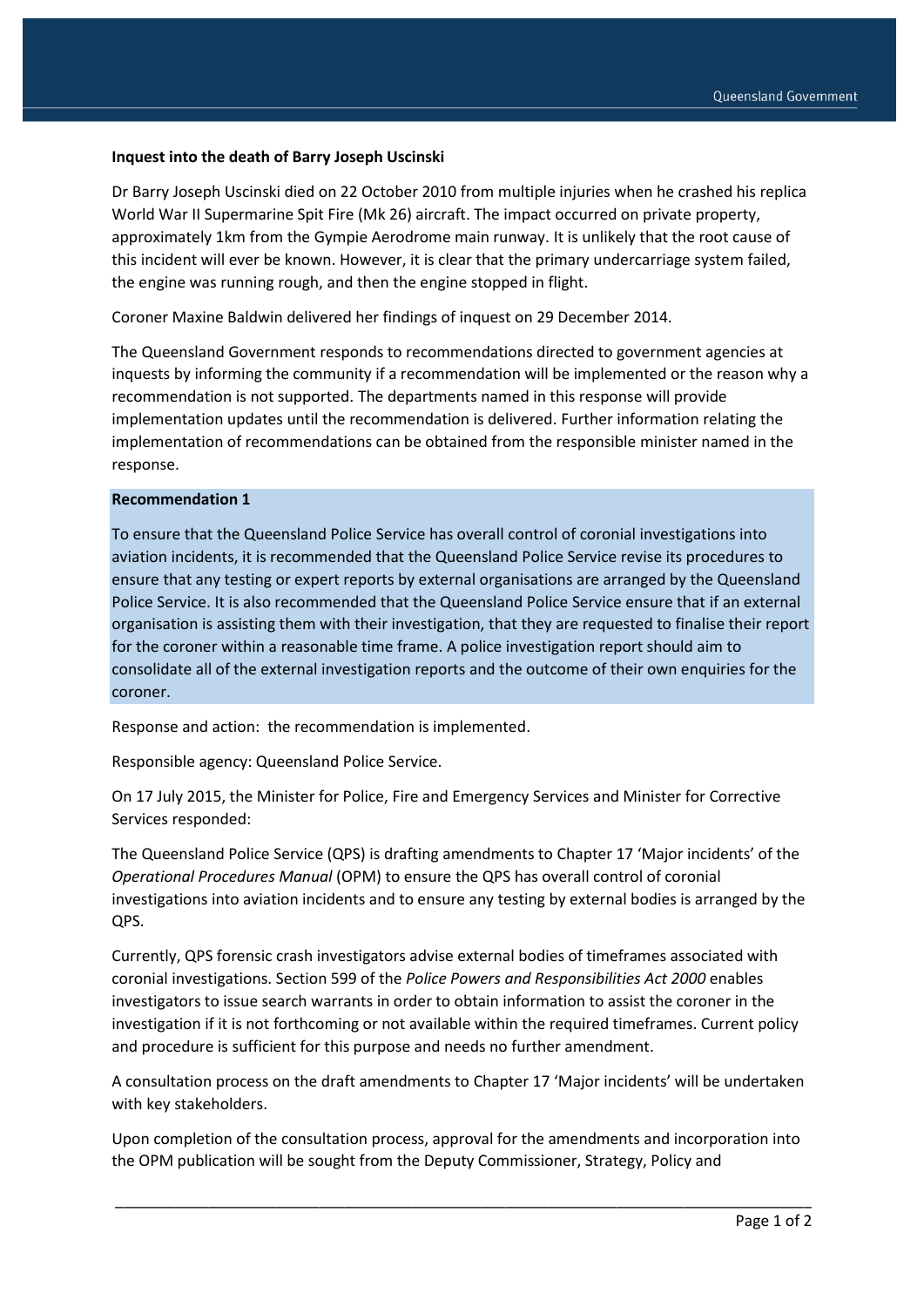## **Inquest into the death of Barry Joseph Uscinski**

Dr Barry Joseph Uscinski died on 22 October 2010 from multiple injuries when he crashed his replica World War II Supermarine Spit Fire (Mk 26) aircraft. The impact occurred on private property, approximately 1km from the Gympie Aerodrome main runway. It is unlikely that the root cause of this incident will ever be known. However, it is clear that the primary undercarriage system failed, the engine was running rough, and then the engine stopped in flight.

Coroner Maxine Baldwin delivered her findings of inquest on 29 December 2014.

The Queensland Government responds to recommendations directed to government agencies at inquests by informing the community if a recommendation will be implemented or the reason why a recommendation is not supported. The departments named in this response will provide implementation updates until the recommendation is delivered. Further information relating the implementation of recommendations can be obtained from the responsible minister named in the response.

## **Recommendation 1**

To ensure that the Queensland Police Service has overall control of coronial investigations into aviation incidents, it is recommended that the Queensland Police Service revise its procedures to ensure that any testing or expert reports by external organisations are arranged by the Queensland Police Service. It is also recommended that the Queensland Police Service ensure that if an external organisation is assisting them with their investigation, that they are requested to finalise their report for the coroner within a reasonable time frame. A police investigation report should aim to consolidate all of the external investigation reports and the outcome of their own enquiries for the coroner.

Response and action: the recommendation is implemented.

Responsible agency: Queensland Police Service.

On 17 July 2015, the Minister for Police, Fire and Emergency Services and Minister for Corrective Services responded:

The Queensland Police Service (QPS) is drafting amendments to Chapter 17 'Major incidents' of the *Operational Procedures Manual* (OPM) to ensure the QPS has overall control of coronial investigations into aviation incidents and to ensure any testing by external bodies is arranged by the QPS.

Currently, QPS forensic crash investigators advise external bodies of timeframes associated with coronial investigations. Section 599 of the *Police Powers and Responsibilities Act 2000* enables investigators to issue search warrants in order to obtain information to assist the coroner in the investigation if it is not forthcoming or not available within the required timeframes. Current policy and procedure is sufficient for this purpose and needs no further amendment.

A consultation process on the draft amendments to Chapter 17 'Major incidents' will be undertaken with key stakeholders.

Upon completion of the consultation process, approval for the amendments and incorporation into the OPM publication will be sought from the Deputy Commissioner, Strategy, Policy and

\_\_\_\_\_\_\_\_\_\_\_\_\_\_\_\_\_\_\_\_\_\_\_\_\_\_\_\_\_\_\_\_\_\_\_\_\_\_\_\_\_\_\_\_\_\_\_\_\_\_\_\_\_\_\_\_\_\_\_\_\_\_\_\_\_\_\_\_\_\_\_\_\_\_\_\_\_\_\_\_\_\_